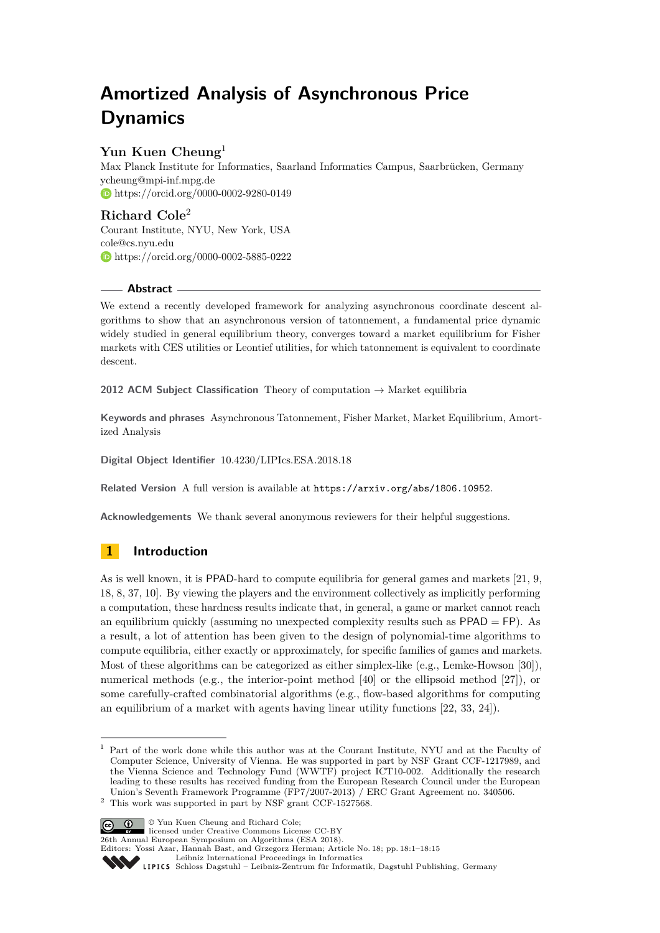# **Amortized Analysis of Asynchronous Price Dynamics**

## **Yun Kuen Cheung**<sup>1</sup>

Max Planck Institute for Informatics, Saarland Informatics Campus, Saarbrücken, Germany [ycheung@mpi-inf.mpg.de](mailto:ycheung@mpi-inf.mpg.de) <https://orcid.org/0000-0002-9280-0149>

**Richard Cole**<sup>2</sup> Courant Institute, NYU, New York, USA [cole@cs.nyu.edu](mailto:cole@cs.nyu.edu) <https://orcid.org/0000-0002-5885-0222>

## **Abstract**

We extend a recently developed framework for analyzing asynchronous coordinate descent algorithms to show that an asynchronous version of tatonnement, a fundamental price dynamic widely studied in general equilibrium theory, converges toward a market equilibrium for Fisher markets with CES utilities or Leontief utilities, for which tatonnement is equivalent to coordinate descent.

**2012 ACM Subject Classification** Theory of computation → Market equilibria

**Keywords and phrases** Asynchronous Tatonnement, Fisher Market, Market Equilibrium, Amortized Analysis

**Digital Object Identifier** [10.4230/LIPIcs.ESA.2018.18](http://dx.doi.org/10.4230/LIPIcs.ESA.2018.18)

**Related Version** A full version is available at <https://arxiv.org/abs/1806.10952>.

**Acknowledgements** We thank several anonymous reviewers for their helpful suggestions.

## **1 Introduction**

As is well known, it is PPAD-hard to compute equilibria for general games and markets [\[21,](#page-13-0) [9,](#page-12-0) [18,](#page-13-1) [8,](#page-12-1) [37,](#page-14-0) [10\]](#page-12-2). By viewing the players and the environment collectively as implicitly performing a computation, these hardness results indicate that, in general, a game or market cannot reach an equilibrium quickly (assuming no unexpected complexity results such as  $PPAD = FP$ ). As a result, a lot of attention has been given to the design of polynomial-time algorithms to compute equilibria, either exactly or approximately, for specific families of games and markets. Most of these algorithms can be categorized as either simplex-like (e.g., Lemke-Howson [\[30\]](#page-13-2)), numerical methods (e.g., the interior-point method [\[40\]](#page-14-1) or the ellipsoid method [\[27\]](#page-13-3)), or some carefully-crafted combinatorial algorithms (e.g., flow-based algorithms for computing an equilibrium of a market with agents having linear utility functions [\[22,](#page-13-4) [33,](#page-13-5) [24\]](#page-13-6)).

© Yun Kuen Cheung and Richard Cole; licensed under Creative Commons License CC-BY 26th Annual European Symposium on Algorithms (ESA 2018). Editors: Yossi Azar, Hannah Bast, and Grzegorz Herman; Article No. 18; pp. 18:1–18[:15](#page-14-2) [Leibniz International Proceedings in Informatics](http://www.dagstuhl.de/lipics/)



 $1$  Part of the work done while this author was at the Courant Institute, NYU and at the Faculty of Computer Science, University of Vienna. He was supported in part by NSF Grant CCF-1217989, and the Vienna Science and Technology Fund (WWTF) project  $\hat{I}CT10-002$ . Additionally the research leading to these results has received funding from the European Research Council under the European Union's Seventh Framework Programme (FP7/2007-2013) / ERC Grant Agreement no. 340506.

 $^2\,$  This work was supported in part by NSF grant CCF-1527568.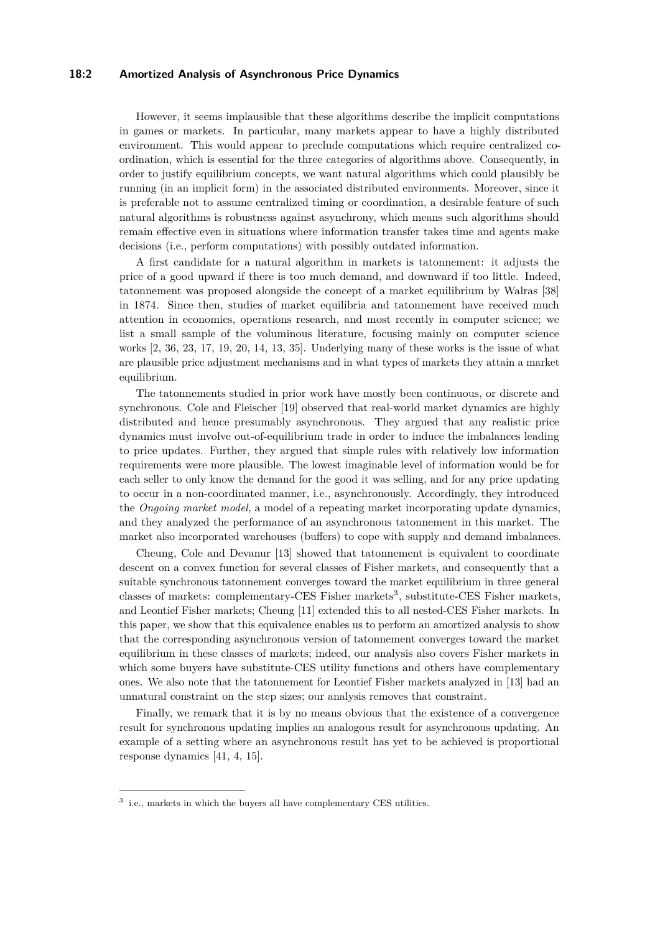#### **18:2 Amortized Analysis of Asynchronous Price Dynamics**

However, it seems implausible that these algorithms describe the implicit computations in games or markets. In particular, many markets appear to have a highly distributed environment. This would appear to preclude computations which require centralized coordination, which is essential for the three categories of algorithms above. Consequently, in order to justify equilibrium concepts, we want natural algorithms which could plausibly be running (in an implicit form) in the associated distributed environments. Moreover, since it is preferable not to assume centralized timing or coordination, a desirable feature of such natural algorithms is robustness against asynchrony, which means such algorithms should remain effective even in situations where information transfer takes time and agents make decisions (i.e., perform computations) with possibly outdated information.

A first candidate for a natural algorithm in markets is tatonnement: it adjusts the price of a good upward if there is too much demand, and downward if too little. Indeed, tatonnement was proposed alongside the concept of a market equilibrium by Walras [\[38\]](#page-14-3) in 1874. Since then, studies of market equilibria and tatonnement have received much attention in economics, operations research, and most recently in computer science; we list a small sample of the voluminous literature, focusing mainly on computer science works [\[2,](#page-12-3) [36,](#page-14-4) [23,](#page-13-7) [17,](#page-13-8) [19,](#page-13-9) [20,](#page-13-10) [14,](#page-12-4) [13,](#page-12-5) [35\]](#page-13-11). Underlying many of these works is the issue of what are plausible price adjustment mechanisms and in what types of markets they attain a market equilibrium.

The tatonnements studied in prior work have mostly been continuous, or discrete and synchronous. Cole and Fleischer [\[19\]](#page-13-9) observed that real-world market dynamics are highly distributed and hence presumably asynchronous. They argued that any realistic price dynamics must involve out-of-equilibrium trade in order to induce the imbalances leading to price updates. Further, they argued that simple rules with relatively low information requirements were more plausible. The lowest imaginable level of information would be for each seller to only know the demand for the good it was selling, and for any price updating to occur in a non-coordinated manner, i.e., asynchronously. Accordingly, they introduced the *Ongoing market model*, a model of a repeating market incorporating update dynamics, and they analyzed the performance of an asynchronous tatonnement in this market. The market also incorporated warehouses (buffers) to cope with supply and demand imbalances.

Cheung, Cole and Devanur [\[13\]](#page-12-5) showed that tatonnement is equivalent to coordinate descent on a convex function for several classes of Fisher markets, and consequently that a suitable synchronous tatonnement converges toward the market equilibrium in three general classes of markets: complementary-CES Fisher markets<sup>[3](#page-1-0)</sup>, substitute-CES Fisher markets, and Leontief Fisher markets; Cheung [\[11\]](#page-12-6) extended this to all nested-CES Fisher markets. In this paper, we show that this equivalence enables us to perform an amortized analysis to show that the corresponding asynchronous version of tatonnement converges toward the market equilibrium in these classes of markets; indeed, our analysis also covers Fisher markets in which some buyers have substitute-CES utility functions and others have complementary ones. We also note that the tatonnement for Leontief Fisher markets analyzed in [\[13\]](#page-12-5) had an unnatural constraint on the step sizes; our analysis removes that constraint.

Finally, we remark that it is by no means obvious that the existence of a convergence result for synchronous updating implies an analogous result for asynchronous updating. An example of a setting where an asynchronous result has yet to be achieved is proportional response dynamics [\[41,](#page-14-5) [4,](#page-12-7) [15\]](#page-12-8).

<span id="page-1-0"></span> $3$  i.e., markets in which the buyers all have complementary CES utilities.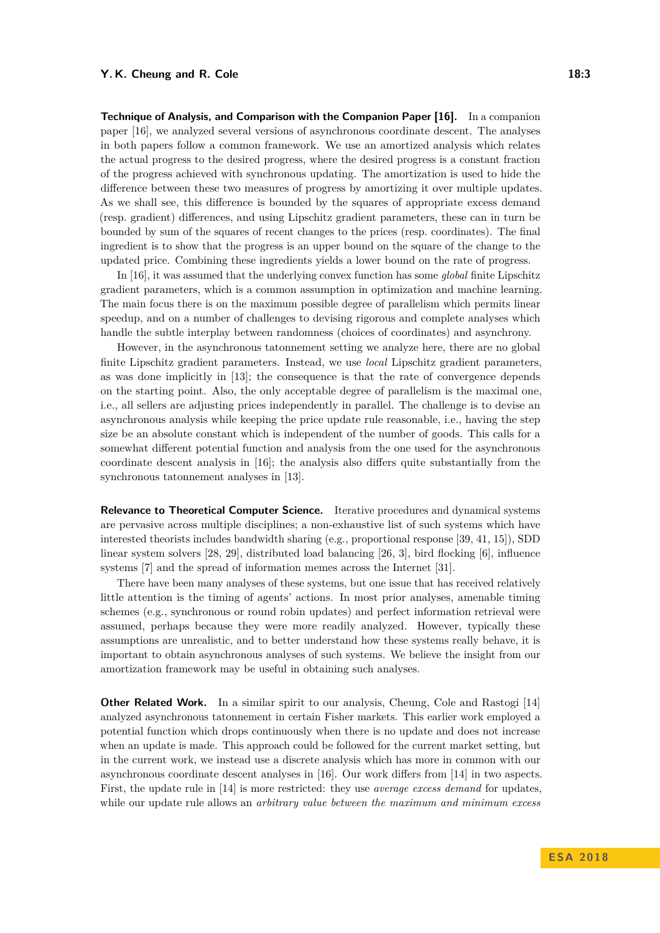**Technique of Analysis, and Comparison with the Companion Paper [\[16\]](#page-12-9).** In a companion paper [\[16\]](#page-12-9), we analyzed several versions of asynchronous coordinate descent. The analyses in both papers follow a common framework. We use an amortized analysis which relates the actual progress to the desired progress, where the desired progress is a constant fraction of the progress achieved with synchronous updating. The amortization is used to hide the difference between these two measures of progress by amortizing it over multiple updates. As we shall see, this difference is bounded by the squares of appropriate excess demand (resp. gradient) differences, and using Lipschitz gradient parameters, these can in turn be bounded by sum of the squares of recent changes to the prices (resp. coordinates). The final ingredient is to show that the progress is an upper bound on the square of the change to the updated price. Combining these ingredients yields a lower bound on the rate of progress.

In [\[16\]](#page-12-9), it was assumed that the underlying convex function has some *global* finite Lipschitz gradient parameters, which is a common assumption in optimization and machine learning. The main focus there is on the maximum possible degree of parallelism which permits linear speedup, and on a number of challenges to devising rigorous and complete analyses which handle the subtle interplay between randomness (choices of coordinates) and asynchrony.

However, in the asynchronous tatonnement setting we analyze here, there are no global finite Lipschitz gradient parameters. Instead, we use *local* Lipschitz gradient parameters, as was done implicitly in [\[13\]](#page-12-5); the consequence is that the rate of convergence depends on the starting point. Also, the only acceptable degree of parallelism is the maximal one, i.e., all sellers are adjusting prices independently in parallel. The challenge is to devise an asynchronous analysis while keeping the price update rule reasonable, i.e., having the step size be an absolute constant which is independent of the number of goods. This calls for a somewhat different potential function and analysis from the one used for the asynchronous coordinate descent analysis in [\[16\]](#page-12-9); the analysis also differs quite substantially from the synchronous tatonnement analyses in [\[13\]](#page-12-5).

**Relevance to Theoretical Computer Science.** Iterative procedures and dynamical systems are pervasive across multiple disciplines; a non-exhaustive list of such systems which have interested theorists includes bandwidth sharing (e.g., proportional response [\[39,](#page-14-6) [41,](#page-14-5) [15\]](#page-12-8)), SDD linear system solvers [\[28,](#page-13-12) [29\]](#page-13-13), distributed load balancing [\[26,](#page-13-14) [3\]](#page-12-10), bird flocking [\[6\]](#page-12-11), influence systems [\[7\]](#page-12-12) and the spread of information memes across the Internet [\[31\]](#page-13-15).

There have been many analyses of these systems, but one issue that has received relatively little attention is the timing of agents' actions. In most prior analyses, amenable timing schemes (e.g., synchronous or round robin updates) and perfect information retrieval were assumed, perhaps because they were more readily analyzed. However, typically these assumptions are unrealistic, and to better understand how these systems really behave, it is important to obtain asynchronous analyses of such systems. We believe the insight from our amortization framework may be useful in obtaining such analyses.

**Other Related Work.** In a similar spirit to our analysis, Cheung, Cole and Rastogi [\[14\]](#page-12-4) analyzed asynchronous tatonnement in certain Fisher markets. This earlier work employed a potential function which drops continuously when there is no update and does not increase when an update is made. This approach could be followed for the current market setting, but in the current work, we instead use a discrete analysis which has more in common with our asynchronous coordinate descent analyses in [\[16\]](#page-12-9). Our work differs from [\[14\]](#page-12-4) in two aspects. First, the update rule in [\[14\]](#page-12-4) is more restricted: they use *average excess demand* for updates, while our update rule allows an *arbitrary value between the maximum and minimum excess*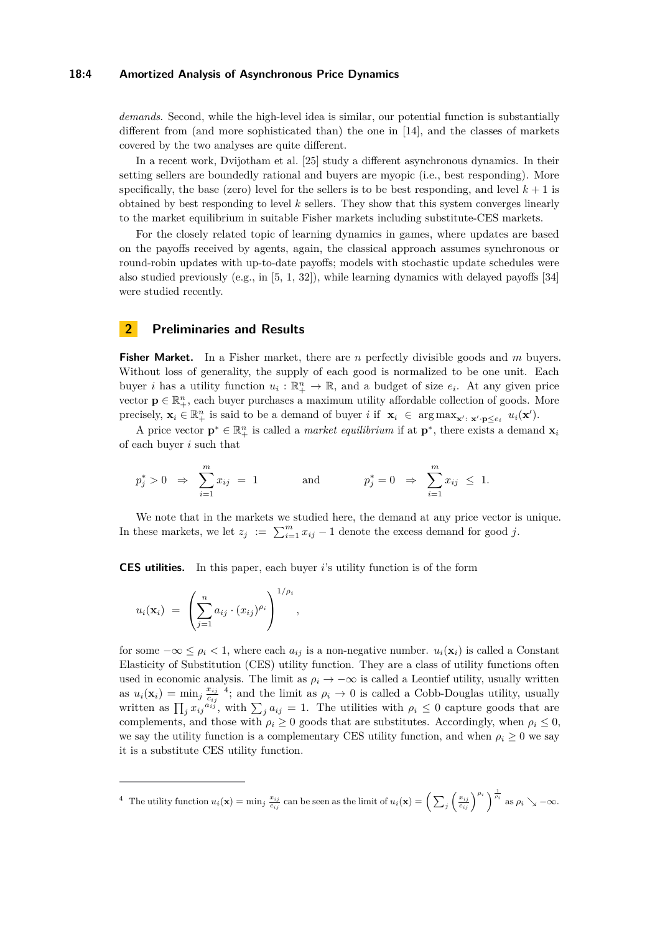#### **18:4 Amortized Analysis of Asynchronous Price Dynamics**

*demands*. Second, while the high-level idea is similar, our potential function is substantially different from (and more sophisticated than) the one in [\[14\]](#page-12-4), and the classes of markets covered by the two analyses are quite different.

In a recent work, Dvijotham et al. [\[25\]](#page-13-16) study a different asynchronous dynamics. In their setting sellers are boundedly rational and buyers are myopic (i.e., best responding). More specifically, the base (zero) level for the sellers is to be best responding, and level  $k+1$  is obtained by best responding to level *k* sellers. They show that this system converges linearly to the market equilibrium in suitable Fisher markets including substitute-CES markets.

For the closely related topic of learning dynamics in games, where updates are based on the payoffs received by agents, again, the classical approach assumes synchronous or round-robin updates with up-to-date payoffs; models with stochastic update schedules were also studied previously (e.g., in [\[5,](#page-12-13) [1,](#page-12-14) [32\]](#page-13-17)), while learning dynamics with delayed payoffs [\[34\]](#page-13-18) were studied recently.

#### <span id="page-3-1"></span>**2 Preliminaries and Results**

**Fisher Market.** In a Fisher market, there are *n* perfectly divisible goods and *m* buyers. Without loss of generality, the supply of each good is normalized to be one unit. Each buyer *i* has a utility function  $u_i : \mathbb{R}^n_+ \to \mathbb{R}$ , and a budget of size  $e_i$ . At any given price vector  $\mathbf{p} \in \mathbb{R}_+^n$ , each buyer purchases a maximum utility affordable collection of goods. More precisely,  $\mathbf{x}_i \in \mathbb{R}_+^n$  is said to be a demand of buyer *i* if  $\mathbf{x}_i \in \arg \max_{\mathbf{x}' : \; \mathbf{x}' \cdot \mathbf{p} \leq e_i} u_i(\mathbf{x}')$ .

A price vector  $\mathbf{p}^* \in \mathbb{R}_+^n$  is called a *market equilibrium* if at  $\mathbf{p}^*$ , there exists a demand  $\mathbf{x}_i$ of each buyer *i* such that

$$
p_j^* > 0 \Rightarrow \sum_{i=1}^m x_{ij} = 1
$$
 and  $p_j^* = 0 \Rightarrow \sum_{i=1}^m x_{ij} \le 1.$ 

We note that in the markets we studied here, the demand at any price vector is unique. In these markets, we let  $z_j := \sum_{i=1}^m x_{ij} - 1$  denote the excess demand for good *j*.

**CES utilities.** In this paper, each buyer *i*'s utility function is of the form

*,*

$$
u_i(\mathbf{x}_i) = \left(\sum_{j=1}^n a_{ij} \cdot (x_{ij})^{\rho_i}\right)^{1/\rho_i}
$$

for some  $-\infty \leq \rho_i < 1$ , where each  $a_{ij}$  is a non-negative number.  $u_i(\mathbf{x}_i)$  is called a Constant Elasticity of Substitution (CES) utility function. They are a class of utility functions often used in economic analysis. The limit as  $\rho_i \to -\infty$  is called a Leontief utility, usually written as  $u_i(\mathbf{x}_i) = \min_j \frac{x_{ij}}{c_{ij}}$  $\frac{x_{ij}}{c_{ij}}$ <sup>[4](#page-3-0)</sup>; and the limit as  $\rho_i \to 0$  is called a Cobb-Douglas utility, usually written as  $\prod_j x_{ij}^{a_{ij}}$ , with  $\sum_j a_{ij} = 1$ . The utilities with  $\rho_i \leq 0$  capture goods that are complements, and those with  $\rho_i \geq 0$  goods that are substitutes. Accordingly, when  $\rho_i \leq 0$ , we say the utility function is a complementary CES utility function, and when  $\rho_i \geq 0$  we say it is a substitute CES utility function.

<span id="page-3-0"></span><sup>&</sup>lt;sup>4</sup> The utility function  $u_i(\mathbf{x}) = \min_j \frac{x_{ij}}{c_{ij}}$  can be seen as the limit of  $u_i(\mathbf{x}) = \left(\sum_j \left(\frac{x_{ij}}{c_{ij}}\right)^{\rho_i}\right)^{\frac{1}{\rho_i}}$  as  $\rho_i \searrow -\infty$ .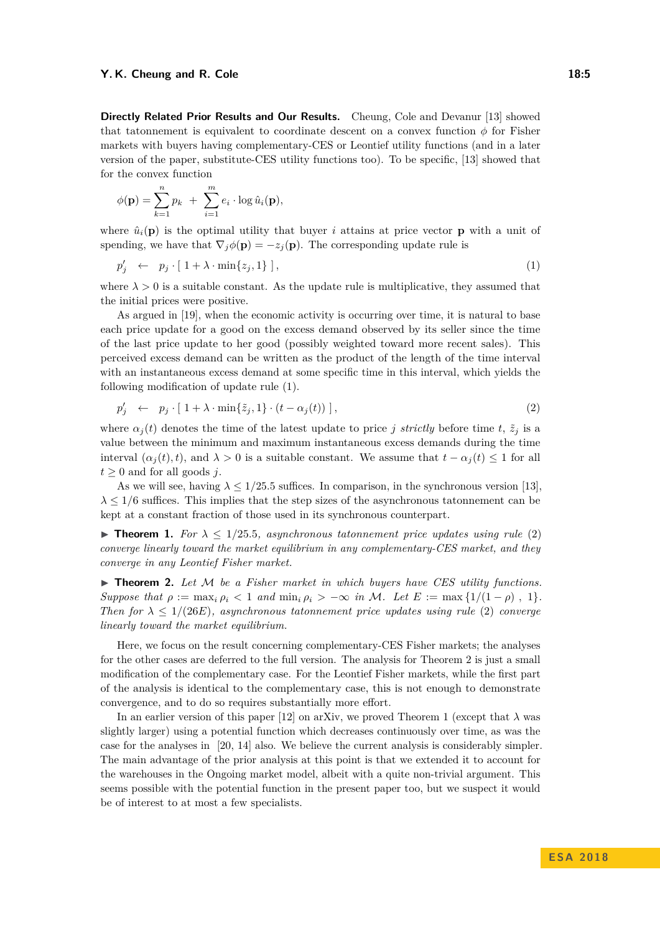**Directly Related Prior Results and Our Results.** Cheung, Cole and Devanur [\[13\]](#page-12-5) showed that tatonnement is equivalent to coordinate descent on a convex function  $\phi$  for Fisher markets with buyers having complementary-CES or Leontief utility functions (and in a later version of the paper, substitute-CES utility functions too). To be specific, [\[13\]](#page-12-5) showed that for the convex function

$$
\phi(\mathbf{p}) = \sum_{k=1}^{n} p_k + \sum_{i=1}^{m} e_i \cdot \log \hat{u}_i(\mathbf{p}),
$$

where  $\hat{u}_i(\mathbf{p})$  is the optimal utility that buyer *i* attains at price vector **p** with a unit of spending, we have that  $\nabla_i \phi(\mathbf{p}) = -z_i(\mathbf{p})$ . The corresponding update rule is

<span id="page-4-0"></span>
$$
p'_j \leftarrow p_j \cdot [1 + \lambda \cdot \min\{z_j, 1\}], \tag{1}
$$

where  $\lambda > 0$  is a suitable constant. As the update rule is multiplicative, they assumed that the initial prices were positive.

As argued in [\[19\]](#page-13-9), when the economic activity is occurring over time, it is natural to base each price update for a good on the excess demand observed by its seller since the time of the last price update to her good (possibly weighted toward more recent sales). This perceived excess demand can be written as the product of the length of the time interval with an instantaneous excess demand at some specific time in this interval, which yields the following modification of update rule [\(1\)](#page-4-0).

<span id="page-4-1"></span>
$$
p'_j \leftarrow p_j \cdot [1 + \lambda \cdot \min\{\tilde{z}_j, 1\} \cdot (t - \alpha_j(t))], \tag{2}
$$

where  $\alpha_j(t)$  denotes the time of the latest update to price *j strictly* before time *t*,  $\tilde{z}_j$  is a value between the minimum and maximum instantaneous excess demands during the time interval  $(\alpha_i(t), t)$ , and  $\lambda > 0$  is a suitable constant. We assume that  $t - \alpha_i(t) \leq 1$  for all  $t \geq 0$  and for all goods *j*.

As we will see, having  $\lambda \leq 1/25.5$  suffices. In comparison, in the synchronous version [\[13\]](#page-12-5), *λ* ≤ 1*/*6 suffices. This implies that the step sizes of the asynchronous tatonnement can be kept at a constant fraction of those used in its synchronous counterpart.

<span id="page-4-3"></span>**Findmenterial 1.** For  $\lambda \leq 1/25.5$ , asynchronous tatonnement price updates using rule [\(2\)](#page-4-1) *converge linearly toward the market equilibrium in any complementary-CES market, and they converge in any Leontief Fisher market.*

<span id="page-4-2"></span> $\triangleright$  **Theorem 2.** Let M be a Fisher market in which buyers have CES utility functions. *Suppose that*  $\rho := \max_i \rho_i < 1$  *and*  $\min_i \rho_i > -\infty$  *in* M*. Let*  $E := \max\{1/(1-\rho), 1\}.$ *Then for*  $\lambda \leq 1/(26E)$ , asynchronous tatonnement price updates using rule [\(2\)](#page-4-1) *converge linearly toward the market equilibrium.*

Here, we focus on the result concerning complementary-CES Fisher markets; the analyses for the other cases are deferred to the full version. The analysis for Theorem [2](#page-4-2) is just a small modification of the complementary case. For the Leontief Fisher markets, while the first part of the analysis is identical to the complementary case, this is not enough to demonstrate convergence, and to do so requires substantially more effort.

In an earlier version of this paper [\[12\]](#page-12-15) on arXiv, we proved Theorem [1](#page-4-3) (except that  $\lambda$  was slightly larger) using a potential function which decreases continuously over time, as was the case for the analyses in [\[20,](#page-13-10) [14\]](#page-12-4) also. We believe the current analysis is considerably simpler. The main advantage of the prior analysis at this point is that we extended it to account for the warehouses in the Ongoing market model, albeit with a quite non-trivial argument. This seems possible with the potential function in the present paper too, but we suspect it would be of interest to at most a few specialists.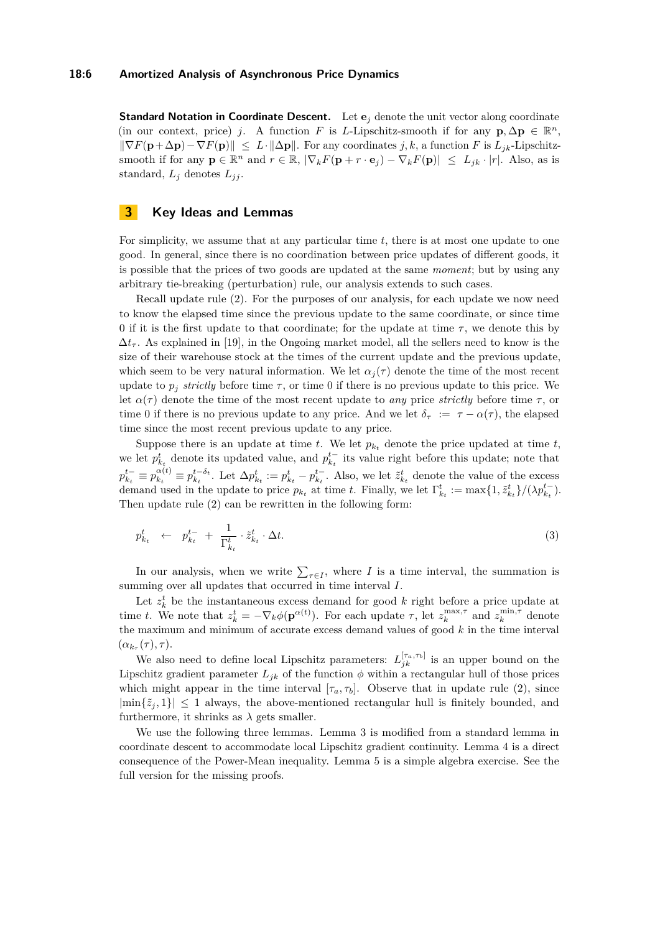**Standard Notation in Coordinate Descent.** Let  $e_j$  denote the unit vector along coordinate (in our context, price) *j*. A function *F* is *L*-Lipschitz-smooth if for any  $\mathbf{p}, \Delta \mathbf{p} \in \mathbb{R}^n$ ,  $\|\nabla F(\mathbf{p}+\Delta \mathbf{p})-\nabla F(\mathbf{p})\| \leq L \cdot \|\Delta \mathbf{p}\|$ . For any coordinates *j*, *k*, a function *F* is  $L_{ik}$ -Lipschitzsmooth if for any  $\mathbf{p} \in \mathbb{R}^n$  and  $r \in \mathbb{R}$ ,  $|\nabla_k F(\mathbf{p} + r \cdot \mathbf{e}_j) - \nabla_k F(\mathbf{p})| \leq L_{jk} \cdot |r|$ . Also, as is standard,  $L_j$  denotes  $L_{jj}$ .

## **3 Key Ideas and Lemmas**

For simplicity, we assume that at any particular time *t*, there is at most one update to one good. In general, since there is no coordination between price updates of different goods, it is possible that the prices of two goods are updated at the same *moment*; but by using any arbitrary tie-breaking (perturbation) rule, our analysis extends to such cases.

Recall update rule [\(2\)](#page-4-1). For the purposes of our analysis, for each update we now need to know the elapsed time since the previous update to the same coordinate, or since time 0 if it is the first update to that coordinate; for the update at time  $\tau$ , we denote this by  $\Delta t_{\tau}$ . As explained in [\[19\]](#page-13-9), in the Ongoing market model, all the sellers need to know is the size of their warehouse stock at the times of the current update and the previous update, which seem to be very natural information. We let  $\alpha_i(\tau)$  denote the time of the most recent update to  $p_i$  *strictly* before time  $\tau$ , or time 0 if there is no previous update to this price. We let  $\alpha(\tau)$  denote the time of the most recent update to *any* price *strictly* before time  $\tau$ , or time 0 if there is no previous update to any price. And we let  $\delta_{\tau} := \tau - \alpha(\tau)$ , the elapsed time since the most recent previous update to any price.

Suppose there is an update at time  $t$ . We let  $p_{k_t}$  denote the price updated at time  $t$ , we let  $p_{k_t}^t$  denote its updated value, and  $p_{k_t}^{t-}$  its value right before this update; note that  $p_{k_t}^{t-} \equiv p_{k_t}^{\alpha(t)}$  $\alpha_{k_t}^{(\alpha)} \equiv p_{k_t}^{t-\delta_t}$ . Let  $\Delta p_{k_t}^t := p_{k_t}^t - p_{k_t}^{t-}$ . Also, we let  $\tilde{z}_{k_t}^t$  denote the value of the excess demand used in the update to price  $p_{k_t}$  at time *t*. Finally, we let  $\Gamma^t_{k_t} := \max\{1, \tilde{z}^t_{k_t}\}/(\lambda p_{k_t}^{t-})$ . Then update rule [\(2\)](#page-4-1) can be rewritten in the following form:

<span id="page-5-0"></span>
$$
p_{k_t}^t \leftarrow p_{k_t}^{t-} + \frac{1}{\Gamma_{k_t}^t} \cdot \tilde{z}_{k_t}^t \cdot \Delta t. \tag{3}
$$

In our analysis, when we write  $\sum_{\tau \in I}$ , where *I* is a time interval, the summation is summing over all updates that occurred in time interval *I*.

Let  $z_k^t$  be the instantaneous excess demand for good  $k$  right before a price update at time *t*. We note that  $z_k^t = -\nabla_k \phi(\mathbf{p}^{\alpha(t)})$ . For each update  $\tau$ , let  $z_k^{\max,\tau}$  and  $z_k^{\min,\tau}$  denote the maximum and minimum of accurate excess demand values of good *k* in the time interval  $(\alpha_{k_{\tau}}(\tau), \tau).$ 

We also need to define local Lipschitz parameters:  $L_{jk}^{[\tau_a, \tau_b]}$  is an upper bound on the Lipschitz gradient parameter  $L_{jk}$  of the function  $\phi$  within a rectangular hull of those prices which might appear in the time interval  $[\tau_a, \tau_b]$ . Observe that in update rule [\(2\)](#page-4-1), since  $|\min\{\tilde{z}_i,1\}| \leq 1$  always, the above-mentioned rectangular hull is finitely bounded, and furthermore, it shrinks as  $\lambda$  gets smaller.

We use the following three lemmas. Lemma [3](#page-6-0) is modified from a standard lemma in coordinate descent to accommodate local Lipschitz gradient continuity. Lemma [4](#page-6-1) is a direct consequence of the Power-Mean inequality. Lemma [5](#page-6-2) is a simple algebra exercise. See the full version for the missing proofs.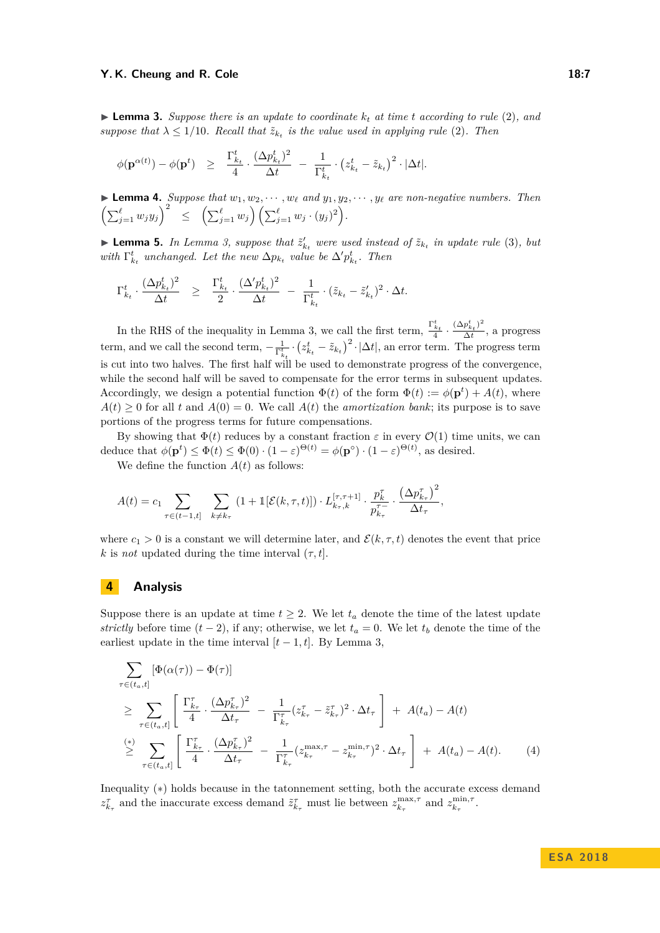#### **Y. K. Cheung and R. Cole 18:7 18:7 18:7**

<span id="page-6-0"></span> $\blacktriangleright$  **Lemma 3.** *Suppose there is an update to coordinate*  $k_t$  *at time t according to rule* [\(2\)](#page-4-1)*, and suppose that*  $\lambda \leq 1/10$ *. Recall that*  $\tilde{z}_{k_t}$  *is the value used in applying rule* [\(2\)](#page-4-1)*. Then* 

$$
\phi(\mathbf{p}^{\alpha(t)}) - \phi(\mathbf{p}^t) \geq \frac{\Gamma_{k_t}^t}{4} \cdot \frac{(\Delta p_{k_t}^t)^2}{\Delta t} - \frac{1}{\Gamma_{k_t}^t} \cdot (z_{k_t}^t - \tilde{z}_{k_t})^2 \cdot |\Delta t|.
$$

<span id="page-6-1"></span>**Example 1.** Suppose that  $w_1, w_2, \dots, w_\ell$  and  $y_1, y_2, \dots, y_\ell$  are non-negative numbers. Then  $\left(\sum_{j=1}^{\ell} w_j y_j\right)^2 \le \left(\sum_{j=1}^{\ell} w_j\right) \left(\sum_{j=1}^{\ell} w_j \cdot (y_j)^2\right).$ 

<span id="page-6-2"></span>**Example 1** Lemma [3,](#page-6-0) suppose that  $\tilde{z}'_{k_t}$  were used instead of  $\tilde{z}_{k_t}$  in update rule [\(3\)](#page-5-0), but *with*  $\Gamma^t_{k_t}$  *unchanged. Let the new*  $\Delta p_{k_t}$  *value be*  $\Delta' p_{k_t}^t$ *. Then* 

$$
\Gamma_{k_t}^t \cdot \frac{(\Delta p_{k_t}^t)^2}{\Delta t} \geq \frac{\Gamma_{k_t}^t}{2} \cdot \frac{(\Delta' p_{k_t}^t)^2}{\Delta t} - \frac{1}{\Gamma_{k_t}^t} \cdot (\tilde{z}_{k_t} - \tilde{z}_{k_t}')^2 \cdot \Delta t.
$$

In the RHS of the inequality in Lemma [3,](#page-6-0) we call the first term,  $\frac{\Gamma_{t_t}^t}{4} \cdot \frac{(\Delta p_{t_t}^t)^2}{\Delta t}$  $\frac{P_{k_t}}{\Delta t}$ , a progress term, and we call the second term,  $-\frac{1}{\Gamma_{k_t}^t} \cdot (z_{k_t}^t - \tilde{z}_{k_t})^2 \cdot |\Delta t|$ , an error term. The progress term is cut into two halves. The first half will be used to demonstrate progress of the convergence, while the second half will be saved to compensate for the error terms in subsequent updates. Accordingly, we design a potential function  $\Phi(t)$  of the form  $\Phi(t) := \phi(\mathbf{p}^t) + A(t)$ , where  $A(t) \geq 0$  for all *t* and  $A(0) = 0$ . We call  $A(t)$  the *amortization bank*; its purpose is to save portions of the progress terms for future compensations.

By showing that  $\Phi(t)$  reduces by a constant fraction  $\varepsilon$  in every  $\mathcal{O}(1)$  time units, we can deduce that  $\phi(\mathbf{p}^t) \leq \Phi(t) \leq \Phi(0) \cdot (1 - \varepsilon)^{\Theta(t)} = \phi(\mathbf{p}^{\circ}) \cdot (1 - \varepsilon)^{\Theta(t)}$ , as desired.

We define the function  $A(t)$  as follows:

$$
A(t) = c_1 \sum_{\tau \in (t-1,t]} \sum_{k \neq k_{\tau}} (1 + \mathbb{1}[\mathcal{E}(k,\tau,t)]) \cdot L_{k_{\tau},k}^{[\tau,\tau+1]} \cdot \frac{p_k^{\tau}}{p_{k_{\tau}}^{\tau-}} \cdot \frac{(\Delta p_{k_{\tau}}^{\tau})^2}{\Delta t_{\tau}},
$$

where  $c_1 > 0$  is a constant we will determine later, and  $\mathcal{E}(k, \tau, t)$  denotes the event that price *k* is *not* updated during the time interval  $(\tau, t]$ .

## **4 Analysis**

Suppose there is an update at time  $t \geq 2$ . We let  $t_a$  denote the time of the latest update *strictly* before time  $(t-2)$ , if any; otherwise, we let  $t_a = 0$ . We let  $t_b$  denote the time of the earliest update in the time interval  $[t-1, t]$ . By Lemma [3,](#page-6-0)

<span id="page-6-3"></span>
$$
\sum_{\tau \in (t_a, t]} [\Phi(\alpha(\tau)) - \Phi(\tau)]
$$
\n
$$
\geq \sum_{\tau \in (t_a, t]} \left[ \frac{\Gamma_{k_{\tau}}^{\tau}}{4} \cdot \frac{(\Delta p_{k_{\tau}}^{\tau})^2}{\Delta t_{\tau}} - \frac{1}{\Gamma_{k_{\tau}}^{\tau}} (z_{k_{\tau}}^{\tau} - \tilde{z}_{k_{\tau}}^{\tau})^2 \cdot \Delta t_{\tau} \right] + A(t_a) - A(t)
$$
\n
$$
\stackrel{(*)}{\geq} \sum_{\tau \in (t_a, t]} \left[ \frac{\Gamma_{k_{\tau}}^{\tau}}{4} \cdot \frac{(\Delta p_{k_{\tau}}^{\tau})^2}{\Delta t_{\tau}} - \frac{1}{\Gamma_{k_{\tau}}^{\tau}} (z_{k_{\tau}}^{\max, \tau} - z_{k_{\tau}}^{\min, \tau})^2 \cdot \Delta t_{\tau} \right] + A(t_a) - A(t). \tag{4}
$$

Inequality (∗) holds because in the tatonnement setting, both the accurate excess demand  $z_{k_{\tau}}^{\tau}$  and the inaccurate excess demand  $\tilde{z}_{k_{\tau}}^{\tau}$  must lie between  $z_{k_{\tau}}^{\max,\tau}$  and  $z_{k_{\tau}}^{\min,\tau}$ .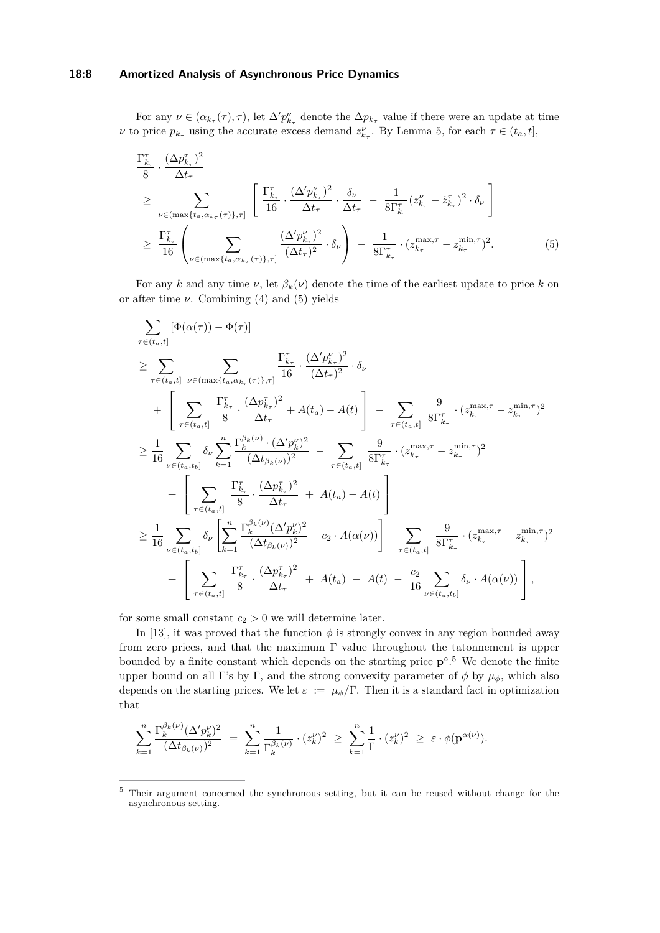#### **18:8 Amortized Analysis of Asynchronous Price Dynamics**

For any  $\nu \in (\alpha_{k_{\tau}}(\tau), \tau)$ , let  $\Delta' p_{k_{\tau}}^{\nu}$  denote the  $\Delta p_{k_{\tau}}$  value if there were an update at time *ν* to price  $p_{k_{\tau}}$  using the accurate excess demand  $z_{k_{\tau}}^{\nu}$ . By Lemma [5,](#page-6-2) for each  $\tau \in (t_a, t]$ ,

<span id="page-7-0"></span>
$$
\frac{\Gamma_{k_{\tau}}^{\tau}}{8} \cdot \frac{(\Delta p_{k_{\tau}}^{\tau})^2}{\Delta t_{\tau}}
$$
\n
$$
\geq \sum_{\nu \in (\max\{t_a, \alpha_{k_{\tau}}(\tau)\}, \tau]} \left[ \frac{\Gamma_{k_{\tau}}^{\tau}}{16} \cdot \frac{(\Delta' p_{k_{\tau}}^{\nu})^2}{\Delta t_{\tau}} \cdot \frac{\delta_{\nu}}{\Delta t_{\tau}} - \frac{1}{8\Gamma_{k_{\tau}}^{\tau}} (z_{k_{\tau}}^{\nu} - \tilde{z}_{k_{\tau}}^{\tau})^2 \cdot \delta_{\nu} \right]
$$
\n
$$
\geq \frac{\Gamma_{k_{\tau}}^{\tau}}{16} \left( \sum_{\nu \in (\max\{t_a, \alpha_{k_{\tau}}(\tau)\}, \tau]} \frac{(\Delta' p_{k_{\tau}}^{\nu})^2}{(\Delta t_{\tau})^2} \cdot \delta_{\nu} \right) - \frac{1}{8\Gamma_{k_{\tau}}^{\tau}} \cdot (z_{k_{\tau}}^{\max, \tau} - z_{k_{\tau}}^{\min, \tau})^2. \tag{5}
$$

For any *k* and any time *ν*, let  $\beta_k(\nu)$  denote the time of the earliest update to price *k* on or after time  $\nu$ . Combining [\(4\)](#page-6-3) and [\(5\)](#page-7-0) yields

$$
\sum_{\tau \in (t_{a},t]} [\Phi(\alpha(\tau)) - \Phi(\tau)]
$$
\n
$$
\geq \sum_{\tau \in (t_{a},t]} \sum_{\nu \in (\max\{t_{a}, \alpha_{k_{\tau}}(\tau)\}, \tau]} \frac{\Gamma_{k_{\tau}}^{\tau} \cdot (\Delta' p_{k_{\tau}}^{\nu})^{2}}{16} \cdot \delta_{\nu}
$$
\n
$$
+ \left[ \sum_{\tau \in (t_{a},t]} \frac{\Gamma_{k_{\tau}}^{\tau} \cdot (\Delta p_{k_{\tau}}^{\tau})^{2}}{8} + A(t_{a}) - A(t) \right] - \sum_{\tau \in (t_{a},t]} \frac{9}{8\Gamma_{k_{\tau}}^{\tau}} \cdot (z_{k_{\tau}}^{\max,\tau} - z_{k_{\tau}}^{\min,\tau})^{2}
$$
\n
$$
\geq \frac{1}{16} \sum_{\nu \in (t_{a},t_{b}]} \delta_{\nu} \sum_{k=1}^{n} \frac{\Gamma_{k}^{\beta_{k}(\nu)} \cdot (\Delta' p_{k}^{\nu})^{2}}{(\Delta t_{\beta_{k}(\nu)})^{2}} - \sum_{\tau \in (t_{a},t]} \frac{9}{8\Gamma_{k_{\tau}}^{\tau}} \cdot (z_{k_{\tau}}^{\max,\tau} - z_{k_{\tau}}^{\min,\tau})^{2}
$$
\n
$$
+ \left[ \sum_{\tau \in (t_{a},t]} \frac{\Gamma_{k_{\tau}}^{\tau} \cdot (\Delta p_{k_{\tau}}^{\tau})^{2}}{8} + A(t_{a}) - A(t) \right]
$$
\n
$$
\geq \frac{1}{16} \sum_{\nu \in (t_{a},t_{b}]} \delta_{\nu} \left[ \sum_{k=1}^{n} \frac{\Gamma_{k}^{\beta_{k}(\nu)} (\Delta' p_{k}^{\nu})^{2}}{(\Delta t_{\beta_{k}(\nu)})^{2}} + c_{2} \cdot A(\alpha(\nu)) \right] - \sum_{\tau \in (t_{a},t]} \frac{9}{8\Gamma_{k_{\tau}}^{\tau}} \cdot (z_{k_{\tau}}^{\max,\tau} - z_{k_{\tau}}^{\min,\tau})^{2}
$$
\n
$$
+ \left[ \sum_{\tau \in (t_{a},t_{b}]} \frac{\Gamma_{k_{\tau}}^{\tau} \cdot (\Delta p_{k_{\tau}}^{\tau})^{2}}{8} + A
$$

for some small constant  $c_2 > 0$  we will determine later.

In [\[13\]](#page-12-5), it was proved that the function  $\phi$  is strongly convex in any region bounded away from zero prices, and that the maximum Γ value throughout the tatonnement is upper bounded by a finite constant which depends on the starting price  $p^{\circ}$ .<sup>[5](#page-7-1)</sup> We denote the finite upper bound on all Γ's by  $\overline{\Gamma}$ , and the strong convexity parameter of  $\phi$  by  $\mu_{\phi}$ , which also depends on the starting prices. We let  $\varepsilon := \mu_{\phi}/\overline{\Gamma}$ . Then it is a standard fact in optimization that

$$
\sum_{k=1}^n \frac{\Gamma_k^{\beta_k(\nu)}(\Delta' p_k^{\nu})^2}{(\Delta t_{\beta_k(\nu)})^2} \; = \; \sum_{k=1}^n \frac{1}{\Gamma_k^{\beta_k(\nu)}} \cdot (z_k^{\nu})^2 \; \geq \; \sum_{k=1}^n \frac{1}{\overline{\Gamma}} \cdot (z_k^{\nu})^2 \; \geq \; \varepsilon \cdot \phi(\mathbf{p}^{\alpha(\nu)}).
$$

<span id="page-7-1"></span><sup>&</sup>lt;sup>5</sup> Their argument concerned the synchronous setting, but it can be reused without change for the asynchronous setting.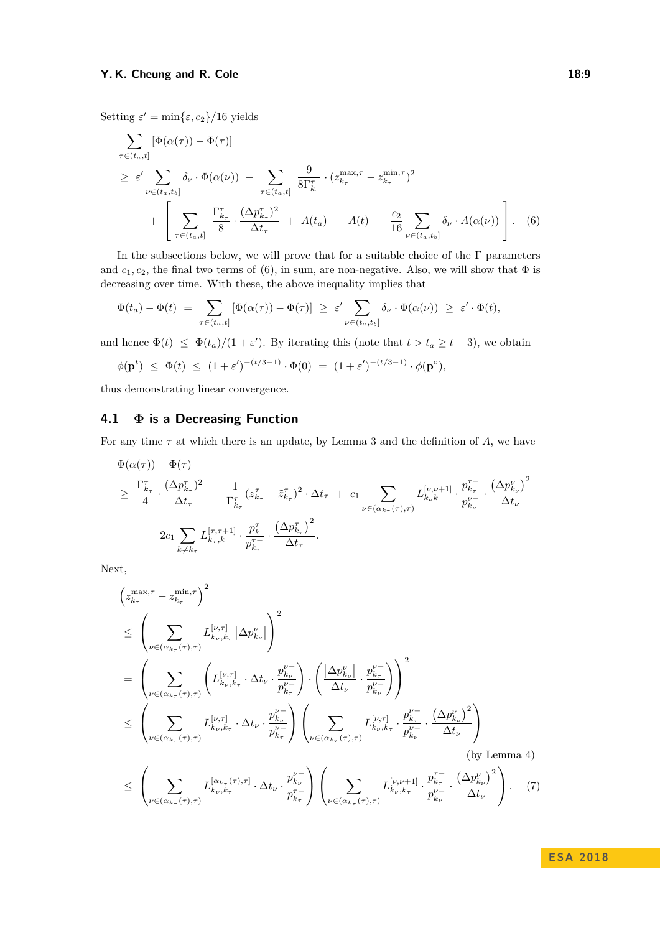Setting  $\varepsilon' = \min\{\varepsilon, c_2\}/16$  yields

<span id="page-8-0"></span>
$$
\sum_{\tau \in (t_a, t]} [\Phi(\alpha(\tau)) - \Phi(\tau)]
$$
\n
$$
\geq \varepsilon' \sum_{\nu \in (t_a, t_b]} \delta_{\nu} \cdot \Phi(\alpha(\nu)) - \sum_{\tau \in (t_a, t]} \frac{9}{8\Gamma_{k_{\tau}}^{\tau}} \cdot (z_{k_{\tau}}^{\max, \tau} - z_{k_{\tau}}^{\min, \tau})^2
$$
\n
$$
+ \left[ \sum_{\tau \in (t_a, t]} \frac{\Gamma_{k_{\tau}}^{\tau}}{8} \cdot \frac{(\Delta p_{k_{\tau}}^{\tau})^2}{\Delta t_{\tau}} + A(t_a) - A(t) - \frac{c_2}{16} \sum_{\nu \in (t_a, t_b]} \delta_{\nu} \cdot A(\alpha(\nu)) \right].
$$
\n(6)

In the subsections below, we will prove that for a suitable choice of the  $\Gamma$  parameters and  $c_1, c_2$ , the final two terms of [\(6\)](#page-8-0), in sum, are non-negative. Also, we will show that  $\Phi$  is decreasing over time. With these, the above inequality implies that

$$
\Phi(t_a) - \Phi(t) = \sum_{\tau \in (t_a, t]} [\Phi(\alpha(\tau)) - \Phi(\tau)] \geq \varepsilon' \sum_{\nu \in (t_a, t_b]} \delta_{\nu} \cdot \Phi(\alpha(\nu)) \geq \varepsilon' \cdot \Phi(t),
$$

and hence  $\Phi(t) \leq \Phi(t_a)/(1+\varepsilon')$ . By iterating this (note that  $t > t_a \geq t-3$ ), we obtain

$$
\phi(\mathbf{p}^t) \ \leq \ \Phi(t) \ \leq \ (1+\varepsilon')^{-(t/3-1)} \cdot \Phi(0) \ = \ (1+\varepsilon')^{-(t/3-1)} \cdot \phi(\mathbf{p}^\circ),
$$

thus demonstrating linear convergence.

## **4.1 Φ is a Decreasing Function**

For any time *τ* at which there is an update, by Lemma [3](#page-6-0) and the definition of *A*, we have

$$
\Phi(\alpha(\tau)) - \Phi(\tau) \n\geq \frac{\Gamma_{k_{\tau}}^{\tau}}{4} \cdot \frac{(\Delta p_{k_{\tau}}^{\tau})^2}{\Delta t_{\tau}} - \frac{1}{\Gamma_{k_{\tau}}^{\tau}} (z_{k_{\tau}}^{\tau} - \tilde{z}_{k_{\tau}}^{\tau})^2 \cdot \Delta t_{\tau} + c_1 \sum_{\nu \in (\alpha_{k_{\tau}}(\tau), \tau)} L_{k_{\nu}k_{\tau}}^{[\nu, \nu+1]} \cdot \frac{p_{k_{\tau}}^{\tau}}{p_{k_{\nu}}^{\nu-}} \cdot \frac{(\Delta p_{k_{\nu}}^{\nu})^2}{\Delta t_{\nu}} \n- 2c_1 \sum_{k \neq k_{\tau}} L_{k_{\tau},k}^{[\tau, \tau+1]} \cdot \frac{p_{k_{\tau}}^{\tau}}{p_{k_{\tau}}^{\tau-}} \cdot \frac{(\Delta p_{k_{\tau}}^{\tau})^2}{\Delta t_{\tau}}.
$$

Next,

$$
\left(z_{k_{\tau}}^{\max,\tau} - z_{k_{\tau}}^{\min,\tau}\right)^{2}
$$
\n
$$
\leq \left(\sum_{\nu \in (\alpha_{k_{\tau}}(\tau),\tau)} L_{k_{\nu},k_{\tau}}^{[\nu,\tau]} \left| \Delta p_{k_{\nu}}^{\nu} \right| \right)^{2}
$$
\n
$$
= \left(\sum_{\nu \in (\alpha_{k_{\tau}}(\tau),\tau)} \left( L_{k_{\nu},k_{\tau}}^{[\nu,\tau]} \cdot \Delta t_{\nu} \cdot \frac{p_{k_{\nu}}^{\nu-}}{p_{k_{\tau}}^{\nu-}} \right) \cdot \left( \frac{\left| \Delta p_{k_{\nu}}^{\nu} \right|}{\Delta t_{\nu}} \cdot \frac{p_{k_{\tau}}^{\nu-}}{p_{k_{\nu}}^{\nu-}} \right) \right)^{2}
$$
\n
$$
\leq \left(\sum_{\nu \in (\alpha_{k_{\tau}}(\tau),\tau)} L_{k_{\nu},k_{\tau}}^{[\nu,\tau]} \cdot \Delta t_{\nu} \cdot \frac{p_{k_{\nu}}^{\nu-}}{p_{k_{\tau}}^{\nu-}} \right) \left(\sum_{\nu \in (\alpha_{k_{\tau}}(\tau),\tau)} L_{k_{\nu},k_{\tau}}^{[\nu,\tau]} \cdot \frac{p_{k_{\tau}}^{\nu-}}{p_{k_{\nu}}^{\nu-}} \cdot \frac{\left( \Delta p_{k_{\nu}}^{\nu} \right)^{2}}{\Delta t_{\nu}} \right)
$$
\n(by Lemma 4)\n
$$
\leq \left(\sum_{\nu \in (\alpha_{k_{\tau}}(\tau),\tau)} L_{k_{\nu},k_{\tau}}^{[\alpha_{k_{\tau}}(\tau),\tau]} \cdot \Delta t_{\nu} \cdot \frac{p_{k_{\nu}}^{\nu-}}{p_{k_{\tau}}^{\tau-}} \right) \left(\sum_{\nu \in (\alpha_{k_{\tau}}(\tau),\tau)} L_{k_{\nu},k_{\tau}}^{[\nu,\nu+1]} \cdot \frac{p_{k_{\tau}}^{\tau-}}{p_{k_{\nu}}^{\nu-}} \cdot \frac{\left( \Delta p_{k_{\nu}}^{\nu} \right)^{2}}{\Delta t_{\nu}} \right). (7)
$$

<span id="page-8-1"></span>**E S A 2 0 1 8**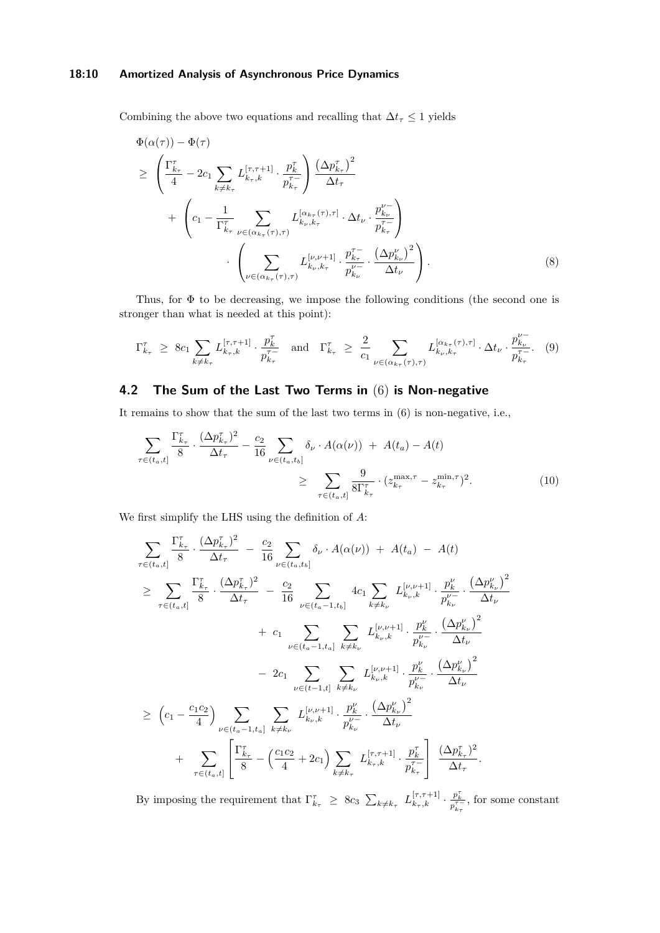#### **18:10 Amortized Analysis of Asynchronous Price Dynamics**

Combining the above two equations and recalling that  $\Delta t_{\tau} \leq 1$  yields

$$
\Phi(\alpha(\tau)) - \Phi(\tau) \n\geq \left( \frac{\Gamma_{k_{\tau}}^{\tau}}{4} - 2c_{1} \sum_{k \neq k_{\tau}} L_{k_{\tau},k}^{[\tau,\tau+1]} \cdot \frac{p_{k}^{\tau}}{p_{k_{\tau}}^{\tau-}} \right) \frac{\left(\Delta p_{k_{\tau}}^{\tau}\right)^{2}}{\Delta t_{\tau}} \n+ \left( c_{1} - \frac{1}{\Gamma_{k_{\tau}}^{\tau}} \sum_{\nu \in (\alpha_{k_{\tau}}(\tau),\tau)} L_{k_{\nu},k_{\tau}}^{[\alpha_{k_{\tau}}(\tau),\tau]} \cdot \Delta t_{\nu} \cdot \frac{p_{k_{\nu}}^{\nu-}}{p_{k_{\tau}}^{\tau-}} \right) \n\cdot \left( \sum_{\nu \in (\alpha_{k_{\tau}}(\tau),\tau)} L_{k_{\nu},k_{\tau}}^{[\nu,\nu+1]} \cdot \frac{p_{k_{\tau}}^{\tau-}}{p_{k_{\nu}}^{\nu-}} \cdot \frac{\left(\Delta p_{k_{\nu}}^{\nu}\right)^{2}}{\Delta t_{\nu}} \right).
$$
\n(8)

Thus, for Φ to be decreasing, we impose the following conditions (the second one is stronger than what is needed at this point):

<span id="page-9-0"></span>
$$
\Gamma_{k_{\tau}}^{\tau} \geq 8c_{1} \sum_{k \neq k_{\tau}} L_{k_{\tau},k}^{[\tau,\tau+1]} \cdot \frac{p_{k}^{\tau}}{p_{k_{\tau}}^{\tau-}} \quad \text{and} \quad \Gamma_{k_{\tau}}^{\tau} \geq \frac{2}{c_{1}} \sum_{\nu \in (\alpha_{k_{\tau}}(\tau),\tau)} L_{k_{\nu},k_{\tau}}^{[\alpha_{k_{\tau}}(\tau),\tau]} \cdot \Delta t_{\nu} \cdot \frac{p_{k_{\nu}}^{\nu-}}{p_{k_{\tau}}^{\tau-}}. \tag{9}
$$

## **4.2 The Sum of the Last Two Terms in** [\(6\)](#page-8-0) **is Non-negative**

It remains to show that the sum of the last two terms in [\(6\)](#page-8-0) is non-negative, i.e.,

<span id="page-9-1"></span>
$$
\sum_{\tau \in (t_a, t]} \frac{\Gamma_{k_{\tau}}^{\tau}}{8} \cdot \frac{(\Delta p_{k_{\tau}}^{\tau})^2}{\Delta t_{\tau}} - \frac{c_2}{16} \sum_{\nu \in (t_a, t_b]} \delta_{\nu} \cdot A(\alpha(\nu)) + A(t_a) - A(t) \ge \sum_{\tau \in (t_a, t]} \frac{9}{8\Gamma_{k_{\tau}}^{\tau}} \cdot (z_{k_{\tau}}^{\max, \tau} - z_{k_{\tau}}^{\min, \tau})^2.
$$
\n(10)

We first simplify the LHS using the definition of *A*:

$$
\sum_{\tau \in (t_a, t]} \frac{\Gamma_{k_{\tau}}^{\tau}}{8} \cdot \frac{(\Delta p_{k_{\tau}}^{\tau})^2}{\Delta t_{\tau}} - \frac{c_2}{16} \sum_{\nu \in (t_a, t_b]} \delta_{\nu} \cdot A(\alpha(\nu)) + A(t_a) - A(t) \n\geq \sum_{\tau \in (t_a, t]} \frac{\Gamma_{k_{\tau}}^{\tau}}{8} \cdot \frac{(\Delta p_{k_{\tau}}^{\tau})^2}{\Delta t_{\tau}} - \frac{c_2}{16} \sum_{\nu \in (t_a - 1, t_b]} 4c_1 \sum_{k \neq k_{\nu}} L_{k_{\nu}, k}^{[\nu, \nu + 1]} \cdot \frac{p_k^{\nu}}{p_{k_{\nu}}^{\nu -}} \cdot \frac{(\Delta p_{k_{\nu}}^{\nu})^2}{\Delta t_{\nu}} \n+ c_1 \sum_{\nu \in (t_a - 1, t_a]} \sum_{k \neq k_{\nu}} L_{k_{\nu}, k}^{[\nu, \nu + 1]} \cdot \frac{p_k^{\nu}}{p_{k_{\nu}}^{\nu -}} \cdot \frac{(\Delta p_{k_{\nu}}^{\nu})^2}{\Delta t_{\nu}} \n- 2c_1 \sum_{\nu \in (t - 1, t]} \sum_{k \neq k_{\nu}} L_{k_{\nu}, k}^{[\nu, \nu + 1]} \cdot \frac{p_k^{\nu}}{p_{k_{\nu}}^{\nu -}} \cdot \frac{(\Delta p_{k_{\nu}}^{\nu})^2}{\Delta t_{\nu}} \n+ \sum_{\tau \in (t_a, t]} \left[ \frac{\Gamma_{k_{\tau}}^{\tau}}{8} - \left( \frac{c_1 c_2}{4} + 2c_1 \right) \sum_{k \neq k_{\tau}} L_{k_{\tau}, k}^{[\tau, \tau + 1]} \cdot \frac{p_k^{\tau}}{p_{k_{\tau}}^{\tau -}} \right] \cdot \frac{(\Delta p_{k_{\tau}}^{\tau})^2}{\Delta t_{\tau}} \right]
$$

By imposing the requirement that  $\Gamma^{\tau}_{k_{\tau}} \ge 8c_3 \sum_{k \neq k_{\tau}} L_{k_{\tau},k}^{[\tau,\tau+1]} \cdot \frac{p_k^{\tau}}{p_{k_{\tau}}^{\tau-}}$ , for some constant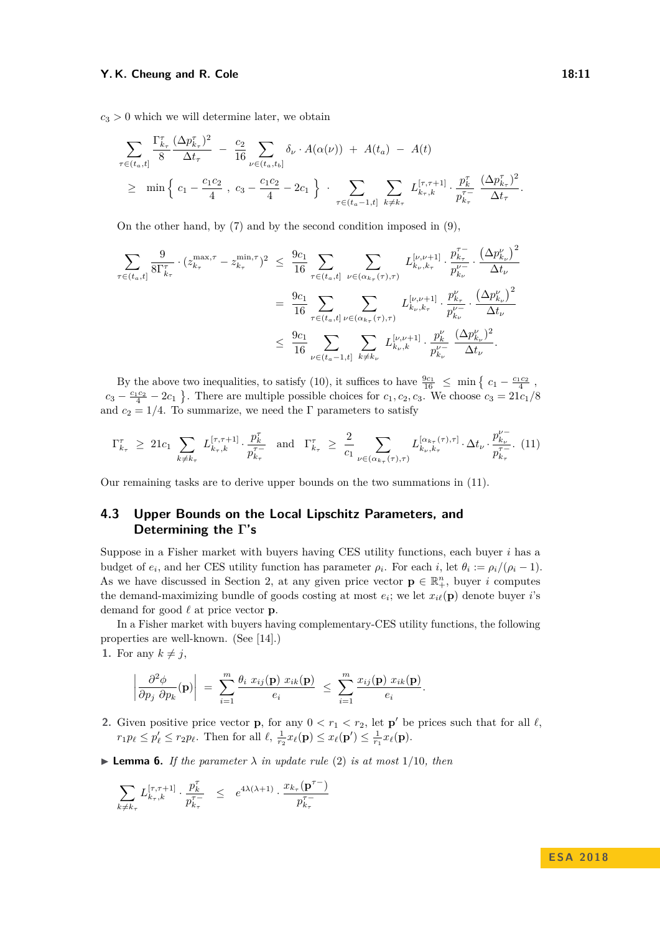$c_3 > 0$  which we will determine later, we obtain

$$
\sum_{\tau \in (t_a, t]} \frac{\Gamma_{k_{\tau}}^{\tau} (\Delta p_{k_{\tau}}^{\tau})^2}{8} - \frac{c_2}{16} \sum_{\nu \in (t_a, t_b]} \delta_{\nu} \cdot A(\alpha(\nu)) + A(t_a) - A(t) \n\geq \min \Big\{ c_1 - \frac{c_1 c_2}{4} , c_3 - \frac{c_1 c_2}{4} - 2c_1 \Big\} \cdot \sum_{\tau \in (t_a - 1, t]} \sum_{k \neq k_{\tau}} L_{k_{\tau}, k}^{[\tau, \tau + 1]} \cdot \frac{p_k^{\tau}}{p_{k_{\tau}}^{\tau -}} \frac{(\Delta p_{k_{\tau}}^{\tau})^2}{\Delta t_{\tau}}.
$$

On the other hand, by [\(7\)](#page-8-1) and by the second condition imposed in [\(9\)](#page-9-0),

$$
\sum_{\tau \in (t_a, t]} \frac{9}{8\Gamma_{k_{\tau}}^{\tau}} \cdot (z_{k_{\tau}}^{\max, \tau} - z_{k_{\tau}}^{\min, \tau})^2 \leq \frac{9c_1}{16} \sum_{\tau \in (t_a, t]} \sum_{\nu \in (\alpha_{k_{\tau}}(\tau), \tau)} L_{k_{\nu}, k_{\tau}}^{[\nu, \nu+1]} \cdot \frac{p_{k_{\tau}}^{\tau -}}{p_{k_{\nu}}^{\nu -}} \cdot \frac{(\Delta p_{k_{\nu}}^{\nu})^2}{\Delta t_{\nu}} \n= \frac{9c_1}{16} \sum_{\tau \in (t_a, t]} \sum_{\nu \in (\alpha_{k_{\tau}}(\tau), \tau)} L_{k_{\nu}, k_{\tau}}^{[\nu, \nu+1]} \cdot \frac{p_{k_{\tau}}^{\nu}}{p_{k_{\nu}}^{\nu}} \cdot \frac{(\Delta p_{k_{\nu}}^{\nu})^2}{\Delta t_{\nu}} \n\leq \frac{9c_1}{16} \sum_{\nu \in (t_a - 1, t]} \sum_{k \neq k_{\nu}} L_{k_{\nu}, k}^{[\nu, \nu+1]} \cdot \frac{p_{k}^{\nu}}{p_{k_{\nu}}^{\nu -}} \cdot \frac{(\Delta p_{k_{\nu}}^{\nu})^2}{\Delta t_{\nu}}.
$$

By the above two inequalities, to satisfy [\(10\)](#page-9-1), it suffices to have  $\frac{9c_1}{16} \le \min \left\{ c_1 - \frac{c_1 c_2}{4} \right\}$  $c_3 - \frac{c_1 c_2}{4} - 2c_1$ . There are multiple possible choices for  $c_1, c_2, c_3$ . We choose  $c_3 = 21c_1/8$ and  $c_2 = 1/4$ . To summarize, we need the Γ parameters to satisfy

<span id="page-10-0"></span>
$$
\Gamma_{k_{\tau}}^{\tau} \geq 21c_1 \sum_{k \neq k_{\tau}} L_{k_{\tau},k}^{[\tau,\tau+1]} \cdot \frac{p_k^{\tau}}{p_{k_{\tau}}^{\tau-}} \text{ and } \Gamma_{k_{\tau}}^{\tau} \geq \frac{2}{c_1} \sum_{\nu \in (\alpha_{k_{\tau}}(\tau),\tau)} L_{k_{\nu},k_{\tau}}^{[\alpha_{k_{\tau}}(\tau),\tau]} \cdot \Delta t_{\nu} \cdot \frac{p_{k_{\nu}}^{\nu-}}{p_{k_{\tau}}^{\tau-}}. (11)
$$

Our remaining tasks are to derive upper bounds on the two summations in [\(11\)](#page-10-0).

## **4.3 Upper Bounds on the Local Lipschitz Parameters, and Determining the Γ's**

Suppose in a Fisher market with buyers having CES utility functions, each buyer *i* has a budget of  $e_i$ , and her CES utility function has parameter  $\rho_i$ . For each *i*, let  $\theta_i := \rho_i/(\rho_i - 1)$ . As we have discussed in Section [2,](#page-3-1) at any given price vector  $\mathbf{p} \in \mathbb{R}_+^n$ , buyer *i* computes the demand-maximizing bundle of goods costing at most  $e_i$ ; we let  $x_{i\ell}(\mathbf{p})$  denote buyer *i*'s demand for good  $\ell$  at price vector **p**.

In a Fisher market with buyers having complementary-CES utility functions, the following properties are well-known. (See [\[14\]](#page-12-4).)

**1.** For any  $k \neq j$ ,

$$
\left|\frac{\partial^2 \phi}{\partial p_j \ \partial p_k}(\mathbf{p})\right| = \sum_{i=1}^m \frac{\theta_i \ x_{ij}(\mathbf{p}) \ x_{ik}(\mathbf{p})}{e_i} \leq \sum_{i=1}^m \frac{x_{ij}(\mathbf{p}) \ x_{ik}(\mathbf{p})}{e_i}.
$$

**2.** Given positive price vector **p**, for any  $0 < r_1 < r_2$ , let **p**' be prices such that for all  $\ell$ ,  $r_1 p_\ell \leq p'_\ell \leq r_2 p_\ell$ . Then for all  $\ell$ ,  $\frac{1}{r_2} x_\ell(\mathbf{p}) \leq x_\ell(\mathbf{p}') \leq \frac{1}{r_1} x_\ell(\mathbf{p})$ .

<span id="page-10-1"></span> $\blacktriangleright$  **Lemma 6.** *If the parameter*  $\lambda$  *in update rule* [\(2\)](#page-4-1) *is at most* 1/10*, then* 

$$
\sum_{k \neq k_{\tau}} L_{k_{\tau},k}^{[\tau,\tau+1]} \cdot \frac{p_k^{\tau}}{p_{k_{\tau}}^{\tau-}} \leq e^{4\lambda(\lambda+1)} \cdot \frac{x_{k_{\tau}}(\mathbf{p}^{\tau-})}{p_{k_{\tau}}^{\tau-}}
$$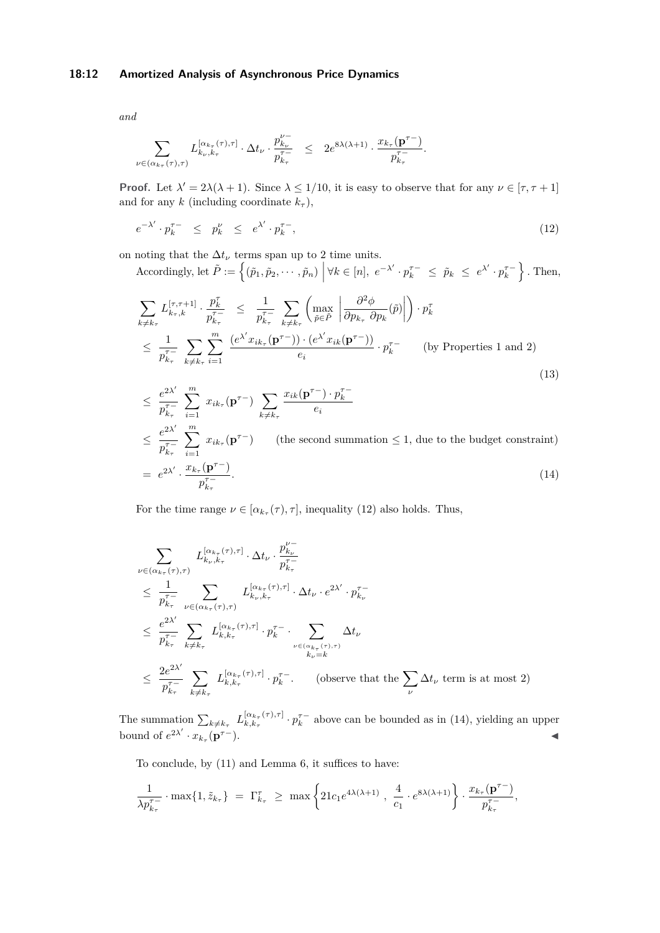#### **18:12 Amortized Analysis of Asynchronous Price Dynamics**

*and*

$$
\sum_{\nu \in (\alpha_{k_{\tau}}(\tau), \tau)} L_{k_{\nu}, k_{\tau}}^{[\alpha_{k_{\tau}}(\tau), \tau]} \cdot \Delta t_{\nu} \cdot \frac{p_{k_{\nu}}^{\nu-}}{p_{k_{\tau}}^{\tau-}} \leq 2e^{8\lambda(\lambda+1)} \cdot \frac{x_{k_{\tau}}(\mathbf{p}^{\tau-})}{p_{k_{\tau}}^{\tau-}}.
$$

**Proof.** Let  $\lambda' = 2\lambda(\lambda + 1)$ . Since  $\lambda \leq 1/10$ , it is easy to observe that for any  $\nu \in [\tau, \tau + 1]$ and for any  $k$  (including coordinate  $k_{\tau}$ ),

<span id="page-11-0"></span>
$$
e^{-\lambda'} \cdot p_k^{\tau -} \leq p_k^{\nu} \leq e^{\lambda'} \cdot p_k^{\tau -}, \tag{12}
$$

on noting that the  $\Delta t_{\nu}$  terms span up to 2 time units.

Accordingly, let  $\tilde{P} := \left\{ (\tilde{p}_1, \tilde{p}_2, \dots, \tilde{p}_n) \middle| \forall k \in [n], e^{-\lambda'} \cdot p_k^{\tau -} \leq \tilde{p}_k \leq e^{\lambda'} \cdot p_k^{\tau -} \right\}$ . Then,

$$
\sum_{k \neq k_{\tau}} L_{k_{\tau},k}^{[\tau,\tau+1]} \cdot \frac{p_k^{\tau}}{p_{k_{\tau}}^{\tau-}} \leq \frac{1}{p_{k_{\tau}}^{\tau-}} \sum_{k \neq k_{\tau}} \left( \max_{\tilde{p} \in \tilde{P}} \left| \frac{\partial^2 \phi}{\partial p_{k_{\tau}} \partial p_k}(\tilde{p}) \right| \right) \cdot p_k^{\tau} \n\leq \frac{1}{p_{k_{\tau}}^{\tau-}} \sum_{k \neq k_{\tau}} \sum_{i=1}^m \frac{(e^{\lambda'} x_{ik_{\tau}}(\mathbf{p}^{\tau-})) \cdot (e^{\lambda'} x_{ik}(\mathbf{p}^{\tau-}))}{e_i} \cdot p_k^{\tau-} \qquad \text{(by Properties 1 and 2)} \n< \frac{e^{2\lambda'}}{2} \sum_{k=1}^m x_{ik_{\tau}}(\mathbf{p}^{\tau-}) \sum_{k=1}^m \frac{x_{ik}(\mathbf{p}^{\tau-}) \cdot p_k^{\tau-}}{e_i} \tag{13}
$$

<span id="page-11-1"></span>
$$
\leq \frac{e^{2\lambda}}{p_{k_{\tau}}^{\tau-}} \sum_{i=1} x_{ik_{\tau}} (\mathbf{p}^{\tau-}) \sum_{k \neq k_{\tau}} \frac{x_{ik}(\mathbf{p}^{\prime}) \cdot p_{k}}{e_{i}}
$$
\n
$$
\leq \frac{e^{2\lambda'}}{p_{k_{\tau}}^{\tau-}} \sum_{i=1}^{m} x_{ik_{\tau}} (\mathbf{p}^{\tau-}) \qquad \text{(the second summation } \leq 1 \text{, due to the budget constraint)}
$$
\n
$$
= e^{2\lambda'} \cdot \frac{x_{k_{\tau}}(\mathbf{p}^{\tau-})}{p_{k_{\tau}}^{\tau-}}. \tag{14}
$$

For the time range  $\nu \in [\alpha_{k_{\tau}}(\tau), \tau]$ , inequality [\(12\)](#page-11-0) also holds. Thus,

$$
\sum_{\nu \in (\alpha_{k_{\tau}}(\tau), \tau)} L_{k_{\nu}, k_{\tau}}^{[\alpha_{k_{\tau}}(\tau), \tau]} \cdot \Delta t_{\nu} \cdot \frac{p_{k_{\nu}}^{\nu-}}{p_{k_{\tau}}^{\tau-}} \n\leq \frac{1}{p_{k_{\tau}}^{\tau-}} \sum_{\nu \in (\alpha_{k_{\tau}}(\tau), \tau)} L_{k_{\nu}, k_{\tau}}^{[\alpha_{k_{\tau}}(\tau), \tau]} \cdot \Delta t_{\nu} \cdot e^{2\lambda'} \cdot p_{k_{\nu}}^{\tau-} \n\leq \frac{e^{2\lambda'}}{p_{k_{\tau}}^{\tau-}} \sum_{k \neq k_{\tau}} L_{k, k_{\tau}}^{[\alpha_{k_{\tau}}(\tau), \tau]} \cdot p_{k}^{\tau-} \cdot \sum_{\nu \in (\alpha_{k_{\tau}}(\tau), \tau)} \Delta t_{\nu} \n\leq \frac{2e^{2\lambda'}}{p_{k_{\tau}}^{\tau-}} \sum_{k \neq k_{\tau}} L_{k, k_{\tau}}^{[\alpha_{k_{\tau}}(\tau), \tau]} \cdot p_{k}^{\tau-}.
$$
 (observe that the  $\sum_{\nu} \Delta t_{\nu}$  term is at most 2)

The summation  $\sum_{k \neq k_{\tau}} L_{k,k_{\tau}}^{[\alpha_{k_{\tau}}(\tau),\tau]}$  $\left[ \alpha_{k,\tau}(\tau), \tau \right] \cdot p_k^{\tau-}$  above can be bounded as in [\(14\)](#page-11-1), yielding an upper bound of  $e^{2\lambda'} \cdot x_{k_{\tau}}(\mathbf{p}^{\tau-})$ .

To conclude, by [\(11\)](#page-10-0) and Lemma [6,](#page-10-1) it suffices to have:

$$
\frac{1}{\lambda p_{k_{\tau}}^{\tau-}} \cdot \max\{1, \tilde{z}_{k_{\tau}}\} = \Gamma_{k_{\tau}}^{\tau} \ge \max\left\{21c_1e^{4\lambda(\lambda+1)}, \frac{4}{c_1} \cdot e^{8\lambda(\lambda+1)}\right\} \cdot \frac{x_{k_{\tau}}(p^{\tau-})}{p_{k_{\tau}}^{\tau-}},
$$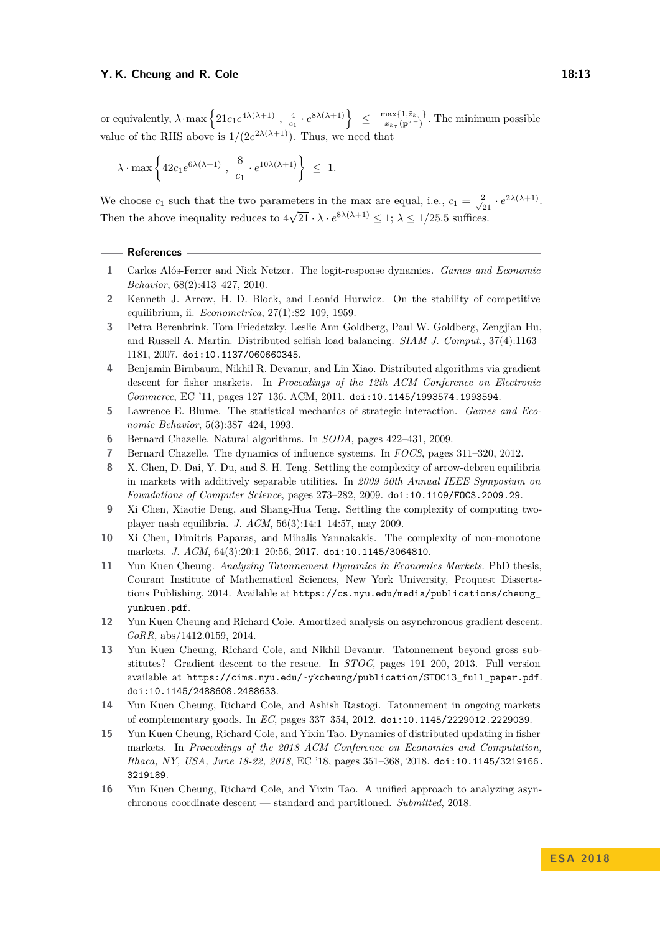$\text{or equivalently, } \lambda \cdot \max\left\{21c_1e^{4\lambda(\lambda+1)} , \frac{4}{c_1} \cdot e^{8\lambda(\lambda+1)}\right\} \leq \frac{\max\{1,\tilde{z}_{k_{\tau}}\}}{x_{k_{\tau}}(\mathbf{p}^{\tau-1})}$  $\frac{\max\{1, z_{k_{\tau}}\}}{x_{k_{\tau}}(\mathbf{p}^{\tau-})}$ . The minimum possible value of the RHS above is  $1/(2e^{2\lambda(\lambda+1)})$ . Thus, we need that

$$
\lambda \cdot \max\left\{ 42 c_1 e^{6\lambda(\lambda+1)} \ , \ \frac{8}{c_1} \cdot e^{10\lambda(\lambda+1)} \right\} \ \leq \ 1.
$$

We choose  $c_1$  such that the two parameters in the max are equal, i.e.,  $c_1 = \frac{2}{\sqrt{21}} \cdot e^{2\lambda(\lambda+1)}$ . Then the above inequality reduces to  $4\sqrt{21} \cdot \lambda \cdot e^{8\lambda(\lambda+1)} \leq 1$ ;  $\lambda \leq 1/25.5$  suffices.

#### **References**

- <span id="page-12-14"></span>**1** Carlos Alós-Ferrer and Nick Netzer. The logit-response dynamics. *Games and Economic Behavior*, 68(2):413–427, 2010.
- <span id="page-12-3"></span>**2** Kenneth J. Arrow, H. D. Block, and Leonid Hurwicz. On the stability of competitive equilibrium, ii. *Econometrica*, 27(1):82–109, 1959.
- <span id="page-12-10"></span>**3** Petra Berenbrink, Tom Friedetzky, Leslie Ann Goldberg, Paul W. Goldberg, Zengjian Hu, and Russell A. Martin. Distributed selfish load balancing. *SIAM J. Comput.*, 37(4):1163– 1181, 2007. [doi:10.1137/060660345](http://dx.doi.org/10.1137/060660345).
- <span id="page-12-7"></span>**4** Benjamin Birnbaum, Nikhil R. Devanur, and Lin Xiao. Distributed algorithms via gradient descent for fisher markets. In *Proceedings of the 12th ACM Conference on Electronic Commerce*, EC '11, pages 127–136. ACM, 2011. [doi:10.1145/1993574.1993594](http://dx.doi.org/10.1145/1993574.1993594).
- <span id="page-12-13"></span>**5** Lawrence E. Blume. The statistical mechanics of strategic interaction. *Games and Economic Behavior*, 5(3):387–424, 1993.
- <span id="page-12-11"></span>**6** Bernard Chazelle. Natural algorithms. In *SODA*, pages 422–431, 2009.
- <span id="page-12-12"></span>**7** Bernard Chazelle. The dynamics of influence systems. In *FOCS*, pages 311–320, 2012.
- <span id="page-12-1"></span>**8** X. Chen, D. Dai, Y. Du, and S. H. Teng. Settling the complexity of arrow-debreu equilibria in markets with additively separable utilities. In *2009 50th Annual IEEE Symposium on Foundations of Computer Science*, pages 273–282, 2009. [doi:10.1109/FOCS.2009.29](http://dx.doi.org/10.1109/FOCS.2009.29).
- <span id="page-12-0"></span>**9** Xi Chen, Xiaotie Deng, and Shang-Hua Teng. Settling the complexity of computing twoplayer nash equilibria. *J. ACM*, 56(3):14:1–14:57, may 2009.
- <span id="page-12-2"></span>**10** Xi Chen, Dimitris Paparas, and Mihalis Yannakakis. The complexity of non-monotone markets. *J. ACM*, 64(3):20:1–20:56, 2017. [doi:10.1145/3064810](http://dx.doi.org/10.1145/3064810).
- <span id="page-12-6"></span>**11** Yun Kuen Cheung. *Analyzing Tatonnement Dynamics in Economics Markets*. PhD thesis, Courant Institute of Mathematical Sciences, New York University, Proquest Dissertations Publishing, 2014. Available at [https://cs.nyu.edu/media/publications/cheung\\_](https://cs.nyu.edu/media/publications/cheung_yunkuen.pdf) [yunkuen.pdf](https://cs.nyu.edu/media/publications/cheung_yunkuen.pdf).
- <span id="page-12-15"></span>**12** Yun Kuen Cheung and Richard Cole. Amortized analysis on asynchronous gradient descent. *CoRR*, abs/1412.0159, 2014.
- <span id="page-12-5"></span>**13** Yun Kuen Cheung, Richard Cole, and Nikhil Devanur. Tatonnement beyond gross substitutes? Gradient descent to the rescue. In *STOC*, pages 191–200, 2013. Full version available at [https://cims.nyu.edu/~ykcheung/publication/STOC13\\_full\\_paper.pdf](https://cims.nyu.edu/~ykcheung/publication/STOC13_full_paper.pdf). [doi:10.1145/2488608.2488633](http://dx.doi.org/10.1145/2488608.2488633).
- <span id="page-12-4"></span>**14** Yun Kuen Cheung, Richard Cole, and Ashish Rastogi. Tatonnement in ongoing markets of complementary goods. In *EC*, pages 337–354, 2012. [doi:10.1145/2229012.2229039](http://dx.doi.org/10.1145/2229012.2229039).
- <span id="page-12-8"></span>**15** Yun Kuen Cheung, Richard Cole, and Yixin Tao. Dynamics of distributed updating in fisher markets. In *Proceedings of the 2018 ACM Conference on Economics and Computation, Ithaca, NY, USA, June 18-22, 2018*, EC '18, pages 351–368, 2018. [doi:10.1145/3219166.](http://dx.doi.org/10.1145/3219166.3219189) [3219189](http://dx.doi.org/10.1145/3219166.3219189).
- <span id="page-12-9"></span>**16** Yun Kuen Cheung, Richard Cole, and Yixin Tao. A unified approach to analyzing asynchronous coordinate descent — standard and partitioned. *Submitted*, 2018.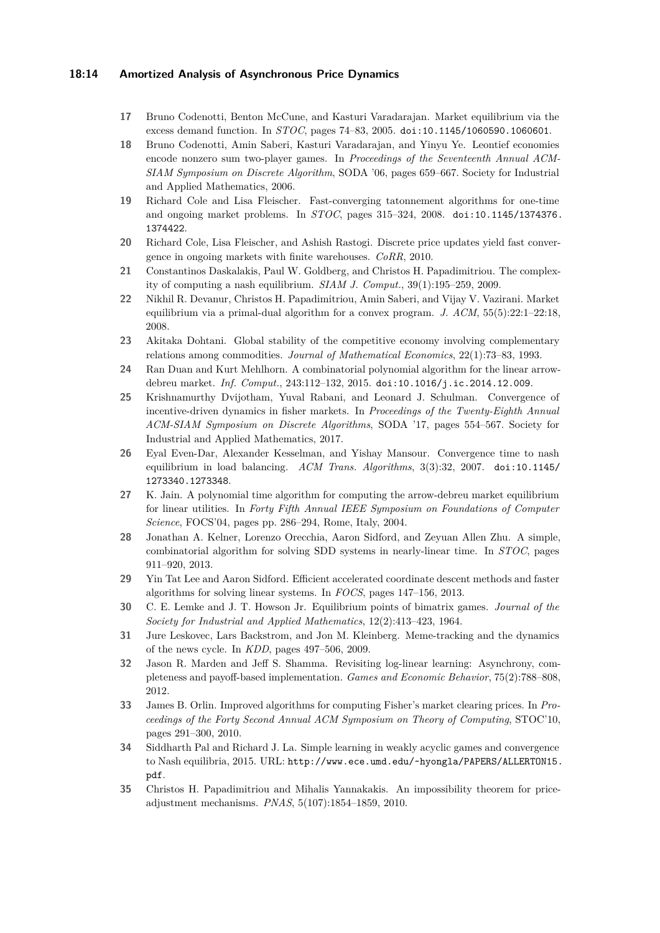#### **18:14 Amortized Analysis of Asynchronous Price Dynamics**

- <span id="page-13-8"></span>**17** Bruno Codenotti, Benton McCune, and Kasturi Varadarajan. Market equilibrium via the excess demand function. In *STOC*, pages 74–83, 2005. [doi:10.1145/1060590.1060601](http://dx.doi.org/10.1145/1060590.1060601).
- <span id="page-13-1"></span>**18** Bruno Codenotti, Amin Saberi, Kasturi Varadarajan, and Yinyu Ye. Leontief economies encode nonzero sum two-player games. In *Proceedings of the Seventeenth Annual ACM-SIAM Symposium on Discrete Algorithm*, SODA '06, pages 659–667. Society for Industrial and Applied Mathematics, 2006.
- <span id="page-13-9"></span>**19** Richard Cole and Lisa Fleischer. Fast-converging tatonnement algorithms for one-time and ongoing market problems. In *STOC*, pages 315–324, 2008. [doi:10.1145/1374376.](http://dx.doi.org/10.1145/1374376.1374422) [1374422](http://dx.doi.org/10.1145/1374376.1374422).
- <span id="page-13-10"></span>**20** Richard Cole, Lisa Fleischer, and Ashish Rastogi. Discrete price updates yield fast convergence in ongoing markets with finite warehouses. *CoRR*, 2010.
- <span id="page-13-0"></span>**21** Constantinos Daskalakis, Paul W. Goldberg, and Christos H. Papadimitriou. The complexity of computing a nash equilibrium. *SIAM J. Comput.*, 39(1):195–259, 2009.
- <span id="page-13-4"></span>**22** Nikhil R. Devanur, Christos H. Papadimitriou, Amin Saberi, and Vijay V. Vazirani. Market equilibrium via a primal-dual algorithm for a convex program. *J. ACM*, 55(5):22:1–22:18, 2008.
- <span id="page-13-7"></span>**23** Akitaka Dohtani. Global stability of the competitive economy involving complementary relations among commodities. *Journal of Mathematical Economics*, 22(1):73–83, 1993.
- <span id="page-13-6"></span>**24** Ran Duan and Kurt Mehlhorn. A combinatorial polynomial algorithm for the linear arrowdebreu market. *Inf. Comput.*, 243:112–132, 2015. [doi:10.1016/j.ic.2014.12.009](http://dx.doi.org/10.1016/j.ic.2014.12.009).
- <span id="page-13-16"></span>**25** Krishnamurthy Dvijotham, Yuval Rabani, and Leonard J. Schulman. Convergence of incentive-driven dynamics in fisher markets. In *Proceedings of the Twenty-Eighth Annual ACM-SIAM Symposium on Discrete Algorithms*, SODA '17, pages 554–567. Society for Industrial and Applied Mathematics, 2017.
- <span id="page-13-14"></span>**26** Eyal Even-Dar, Alexander Kesselman, and Yishay Mansour. Convergence time to nash equilibrium in load balancing. *ACM Trans. Algorithms*, 3(3):32, 2007. [doi:10.1145/](http://dx.doi.org/10.1145/1273340.1273348) [1273340.1273348](http://dx.doi.org/10.1145/1273340.1273348).
- <span id="page-13-3"></span>**27** K. Jain. A polynomial time algorithm for computing the arrow-debreu market equilibrium for linear utilities. In *Forty Fifth Annual IEEE Symposium on Foundations of Computer Science*, FOCS'04, pages pp. 286–294, Rome, Italy, 2004.
- <span id="page-13-12"></span>**28** Jonathan A. Kelner, Lorenzo Orecchia, Aaron Sidford, and Zeyuan Allen Zhu. A simple, combinatorial algorithm for solving SDD systems in nearly-linear time. In *STOC*, pages 911–920, 2013.
- <span id="page-13-13"></span>**29** Yin Tat Lee and Aaron Sidford. Efficient accelerated coordinate descent methods and faster algorithms for solving linear systems. In *FOCS*, pages 147–156, 2013.
- <span id="page-13-2"></span>**30** C. E. Lemke and J. T. Howson Jr. Equilibrium points of bimatrix games. *Journal of the Society for Industrial and Applied Mathematics*, 12(2):413–423, 1964.
- <span id="page-13-15"></span>**31** Jure Leskovec, Lars Backstrom, and Jon M. Kleinberg. Meme-tracking and the dynamics of the news cycle. In *KDD*, pages 497–506, 2009.
- <span id="page-13-17"></span>**32** Jason R. Marden and Jeff S. Shamma. Revisiting log-linear learning: Asynchrony, completeness and payoff-based implementation. *Games and Economic Behavior*, 75(2):788–808, 2012.
- <span id="page-13-5"></span>**33** James B. Orlin. Improved algorithms for computing Fisher's market clearing prices. In *Proceedings of the Forty Second Annual ACM Symposium on Theory of Computing*, STOC'10, pages 291–300, 2010.
- <span id="page-13-18"></span>**34** Siddharth Pal and Richard J. La. Simple learning in weakly acyclic games and convergence to Nash equilibria, 2015. URL: [http://www.ece.umd.edu/~hyongla/PAPERS/ALLERTON15.](http://www.ece.umd.edu/~hyongla/PAPERS/ALLERTON15.pdf) [pdf](http://www.ece.umd.edu/~hyongla/PAPERS/ALLERTON15.pdf).
- <span id="page-13-11"></span>**35** Christos H. Papadimitriou and Mihalis Yannakakis. An impossibility theorem for priceadjustment mechanisms. *PNAS*, 5(107):1854–1859, 2010.